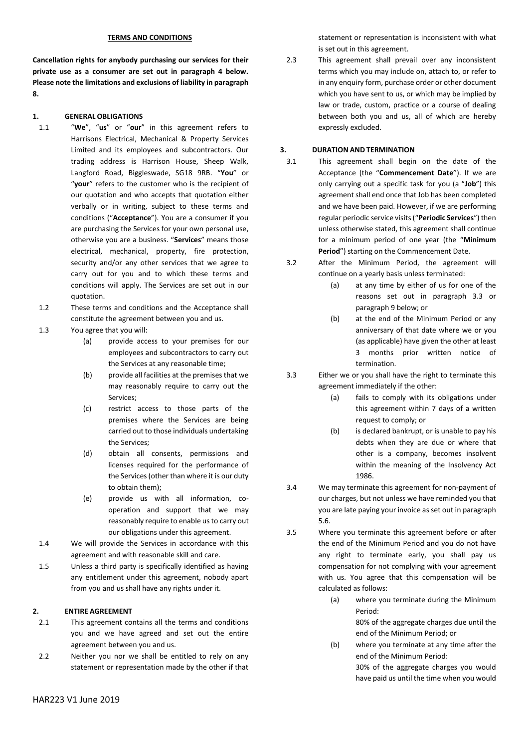### **TERMS AND CONDITIONS**

**Cancellation rights for anybody purchasing our services for their private use as a consumer are set out in paragraph 4 below. Please note the limitations and exclusions of liability in paragraph 8.**

### **1. GENERAL OBLIGATIONS**

- 1.1 "**We**", "**us**" or "**our**" in this agreement refers to Harrisons Electrical, Mechanical & Property Services Limited and its employees and subcontractors. Our trading address is Harrison House, Sheep Walk, Langford Road, Biggleswade, SG18 9RB. "**You**" or "**your**" refers to the customer who is the recipient of our quotation and who accepts that quotation either verbally or in writing, subject to these terms and conditions ("**Acceptance**"). You are a consumer if you are purchasing the Services for your own personal use, otherwise you are a business. "**Services**" means those electrical, mechanical, property, fire protection, security and/or any other services that we agree to carry out for you and to which these terms and conditions will apply. The Services are set out in our quotation.
- 1.2 These terms and conditions and the Acceptance shall constitute the agreement between you and us.
- 1.3 You agree that you will:
	- (a) provide access to your premises for our employees and subcontractors to carry out the Services at any reasonable time;
	- (b) provide all facilities at the premises that we may reasonably require to carry out the Services;
	- (c) restrict access to those parts of the premises where the Services are being carried out to those individuals undertaking the Services;
	- (d) obtain all consents, permissions and licenses required for the performance of the Services (other than where it is our duty to obtain them);
	- (e) provide us with all information, cooperation and support that we may reasonably require to enable us to carry out our obligations under this agreement.
- 1.4 We will provide the Services in accordance with this agreement and with reasonable skill and care.
- 1.5 Unless a third party is specifically identified as having any entitlement under this agreement, nobody apart from you and us shall have any rights under it.

#### **2. ENTIRE AGREEMENT**

- 2.1 This agreement contains all the terms and conditions you and we have agreed and set out the entire agreement between you and us.
- 2.2 Neither you nor we shall be entitled to rely on any statement or representation made by the other if that

statement or representation is inconsistent with what is set out in this agreement.

2.3 This agreement shall prevail over any inconsistent terms which you may include on, attach to, or refer to in any enquiry form, purchase order or other document which you have sent to us, or which may be implied by law or trade, custom, practice or a course of dealing between both you and us, all of which are hereby expressly excluded.

## **3. DURATION AND TERMINATION**

- 3.1 This agreement shall begin on the date of the Acceptance (the "**Commencement Date**"). If we are only carrying out a specific task for you (a "**Job**") this agreement shall end once that Job has been completed and we have been paid. However, if we are performing regular periodic service visits ("**Periodic Services**") then unless otherwise stated, this agreement shall continue for a minimum period of one year (the "**Minimum Period**") starting on the Commencement Date.
- 3.2 After the Minimum Period, the agreement will continue on a yearly basis unless terminated:
	- (a) at any time by either of us for one of the reasons set out in paragraph 3.3 or paragraph 9 below; or
	- (b) at the end of the Minimum Period or any anniversary of that date where we or you (as applicable) have given the other at least 3 months prior written notice of termination.
- 3.3 Either we or you shall have the right to terminate this agreement immediately if the other:
	- (a) fails to comply with its obligations under this agreement within 7 days of a written request to comply; or
	- (b) is declared bankrupt, or is unable to pay his debts when they are due or where that other is a company, becomes insolvent within the meaning of the Insolvency Act 1986.
- 3.4 We may terminate this agreement for non-payment of our charges, but not unless we have reminded you that you are late paying your invoice as set out in paragraph 5.6.
- 3.5 Where you terminate this agreement before or after the end of the Minimum Period and you do not have any right to terminate early, you shall pay us compensation for not complying with your agreement with us. You agree that this compensation will be calculated as follows:
	- (a) where you terminate during the Minimum Period:
		- 80% of the aggregate charges due until the end of the Minimum Period; or
	- (b) where you terminate at any time after the end of the Minimum Period:

30% of the aggregate charges you would have paid us until the time when you would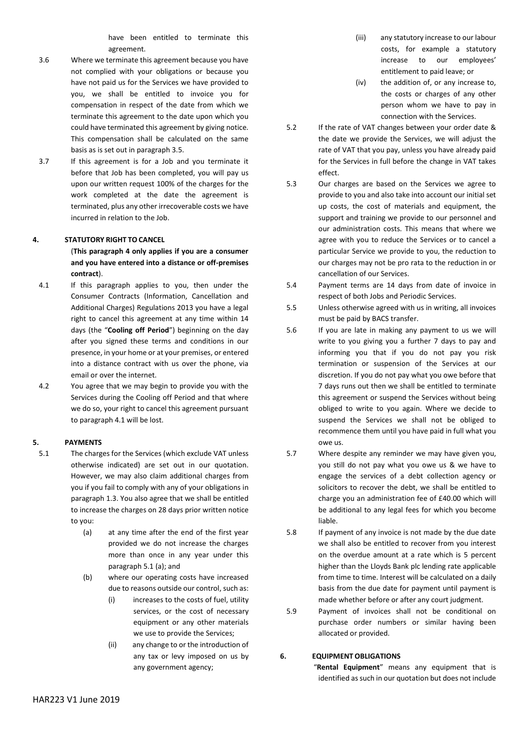have been entitled to terminate this agreement.

- 3.6 Where we terminate this agreement because you have not complied with your obligations or because you have not paid us for the Services we have provided to you, we shall be entitled to invoice you for compensation in respect of the date from which we terminate this agreement to the date upon which you could have terminated this agreement by giving notice. This compensation shall be calculated on the same basis as is set out in paragraph 3.5.
- 3.7 If this agreement is for a Job and you terminate it before that Job has been completed, you will pay us upon our written request 100% of the charges for the work completed at the date the agreement is terminated, plus any other irrecoverable costs we have incurred in relation to the Job.

### **4. STATUTORY RIGHT TO CANCEL**

(**This paragraph 4 only applies if you are a consumer and you have entered into a distance or off-premises contract**).

- 4.1 If this paragraph applies to you, then under the Consumer Contracts (Information, Cancellation and Additional Charges) Regulations 2013 you have a legal right to cancel this agreement at any time within 14 days (the "**Cooling off Period**") beginning on the day after you signed these terms and conditions in our presence, in your home or at your premises, or entered into a distance contract with us over the phone, via email or over the internet.
- 4.2 You agree that we may begin to provide you with the Services during the Cooling off Period and that where we do so, your right to cancel this agreement pursuant to paragraph 4.1 will be lost.

#### **5. PAYMENTS**

- 5.1 The charges for the Services (which exclude VAT unless otherwise indicated) are set out in our quotation. However, we may also claim additional charges from you if you fail to comply with any of your obligations in paragraph 1.3. You also agree that we shall be entitled to increase the charges on 28 days prior written notice to you:
	- (a) at any time after the end of the first year provided we do not increase the charges more than once in any year under this paragraph 5.1 (a); and
	- (b) where our operating costs have increased due to reasons outside our control, such as:
		- (i) increases to the costs of fuel, utility services, or the cost of necessary equipment or any other materials we use to provide the Services;
		- (ii) any change to or the introduction of any tax or levy imposed on us by any government agency;
- (iii) any statutory increase to our labour costs, for example a statutory increase to our employees' entitlement to paid leave; or
- (iv) the addition of, or any increase to, the costs or charges of any other person whom we have to pay in connection with the Services.
- 5.2 If the rate of VAT changes between your order date & the date we provide the Services, we will adjust the rate of VAT that you pay, unless you have already paid for the Services in full before the change in VAT takes effect.
- 5.3 Our charges are based on the Services we agree to provide to you and also take into account our initial set up costs, the cost of materials and equipment, the support and training we provide to our personnel and our administration costs. This means that where we agree with you to reduce the Services or to cancel a particular Service we provide to you, the reduction to our charges may not be pro rata to the reduction in or cancellation of our Services.
- 5.4 Payment terms are 14 days from date of invoice in respect of both Jobs and Periodic Services.
- 5.5 Unless otherwise agreed with us in writing, all invoices must be paid by BACS transfer.
- 5.6 If you are late in making any payment to us we will write to you giving you a further 7 days to pay and informing you that if you do not pay you risk termination or suspension of the Services at our discretion. If you do not pay what you owe before that 7 days runs out then we shall be entitled to terminate this agreement or suspend the Services without being obliged to write to you again. Where we decide to suspend the Services we shall not be obliged to recommence them until you have paid in full what you owe us.
- 5.7 Where despite any reminder we may have given you, you still do not pay what you owe us & we have to engage the services of a debt collection agency or solicitors to recover the debt, we shall be entitled to charge you an administration fee of £40.00 which will be additional to any legal fees for which you become liable.
- 5.8 If payment of any invoice is not made by the due date we shall also be entitled to recover from you interest on the overdue amount at a rate which is 5 percent higher than the Lloyds Bank plc lending rate applicable from time to time. Interest will be calculated on a daily basis from the due date for payment until payment is made whether before or after any court judgment.
- 5.9 Payment of invoices shall not be conditional on purchase order numbers or similar having been allocated or provided.

**6. EQUIPMENT OBLIGATIONS**

 "**Rental Equipment**" means any equipment that is identified as such in our quotation but does not include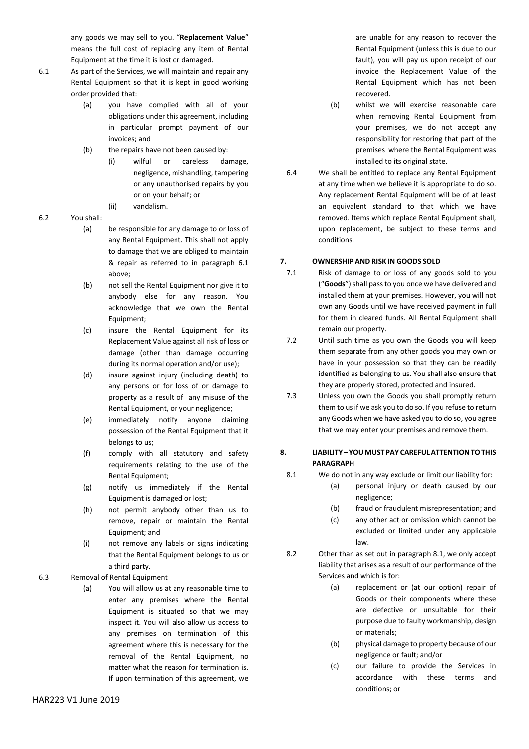any goods we may sell to you. "**Replacement Value**" means the full cost of replacing any item of Rental Equipment at the time it is lost or damaged.

- 6.1 As part of the Services, we will maintain and repair any Rental Equipment so that it is kept in good working order provided that:
	- (a) you have complied with all of your obligations under this agreement, including in particular prompt payment of our invoices; and
	- (b) the repairs have not been caused by:
		- (i) wilful or careless damage, negligence, mishandling, tampering or any unauthorised repairs by you or on your behalf; or
		- (ii) vandalism.
	- 6.2 You shall:
		- (a) be responsible for any damage to or loss of any Rental Equipment. This shall not apply to damage that we are obliged to maintain & repair as referred to in paragraph 6.1 above;
		- (b) not sell the Rental Equipment nor give it to anybody else for any reason. You acknowledge that we own the Rental Equipment;
		- (c) insure the Rental Equipment for its Replacement Value against all risk of loss or damage (other than damage occurring during its normal operation and/or use);
		- (d) insure against injury (including death) to any persons or for loss of or damage to property as a result of any misuse of the Rental Equipment, or your negligence;
		- (e) immediately notify anyone claiming possession of the Rental Equipment that it belongs to us;
		- (f) comply with all statutory and safety requirements relating to the use of the Rental Equipment;
		- (g) notify us immediately if the Rental Equipment is damaged or lost;
		- (h) not permit anybody other than us to remove, repair or maintain the Rental Equipment; and
		- (i) not remove any labels or signs indicating that the Rental Equipment belongs to us or a third party.
	- 6.3 Removal of Rental Equipment
		- (a) You will allow us at any reasonable time to enter any premises where the Rental Equipment is situated so that we may inspect it. You will also allow us access to any premises on termination of this agreement where this is necessary for the removal of the Rental Equipment, no matter what the reason for termination is. If upon termination of this agreement, we

are unable for any reason to recover the Rental Equipment (unless this is due to our fault), you will pay us upon receipt of our invoice the Replacement Value of the Rental Equipment which has not been recovered.

- (b) whilst we will exercise reasonable care when removing Rental Equipment from your premises, we do not accept any responsibility for restoring that part of the premises where the Rental Equipment was installed to its original state.
- 6.4 We shall be entitled to replace any Rental Equipment at any time when we believe it is appropriate to do so. Any replacement Rental Equipment will be of at least an equivalent standard to that which we have removed. Items which replace Rental Equipment shall, upon replacement, be subject to these terms and conditions.

## **7. OWNERSHIP AND RISK IN GOODS SOLD**

- 7.1 Risk of damage to or loss of any goods sold to you ("**Goods**") shall pass to you once we have delivered and installed them at your premises. However, you will not own any Goods until we have received payment in full for them in cleared funds. All Rental Equipment shall remain our property.
- 7.2 Until such time as you own the Goods you will keep them separate from any other goods you may own or have in your possession so that they can be readily identified as belonging to us. You shall also ensure that they are properly stored, protected and insured.
- 7.3 Unless you own the Goods you shall promptly return them to us if we ask you to do so. If you refuse to return any Goods when we have asked you to do so, you agree that we may enter your premises and remove them.

# **8. LIABILITY –YOUMUSTPAY CAREFULATTENTIONTOTHIS PARAGRAPH**

- 8.1 We do not in any way exclude or limit our liability for:
	- (a) personal injury or death caused by our negligence;
	- (b) fraud or fraudulent misrepresentation; and
	- (c) any other act or omission which cannot be excluded or limited under any applicable law.
- 8.2 Other than as set out in paragraph 8.1, we only accept liability that arises as a result of our performance of the Services and which is for:
	- (a) replacement or (at our option) repair of Goods or their components where these are defective or unsuitable for their purpose due to faulty workmanship, design or materials;
	- (b) physical damage to property because of our negligence or fault; and/or
	- (c) our failure to provide the Services in accordance with these terms and conditions; or